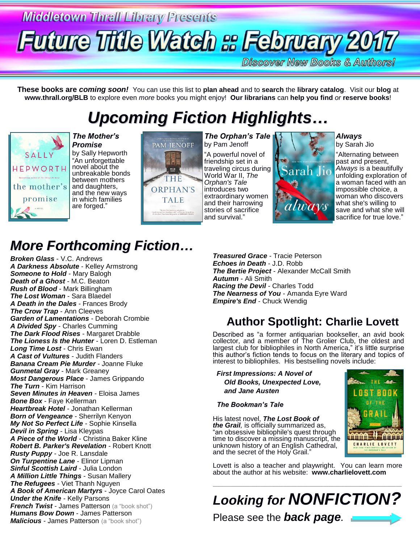# **Middletown Thrall Library Presents Future Title Watch & February 2017**

**Discover New Books & Authors!** 

**These books are** *coming soon!* You can use this list to **plan ahead** and to **search** the **library catalog**. Visit our **blog** at **www.thrall.org/BLB** to explore even *more* books you might enjoy! **Our librarians** can **help you find** *or* **reserve books**!

## *Upcoming Fiction Highlights…*



*The Mother's Promise* by Sally Hepworth "An unforgettable novel about the unbreakable bonds between mothers and daughters, and the new ways in which families are forged."



*The Orphan's Tale* by Pam Jenoff

"A powerful novel of friendship set in a traveling circus during World War II, *The Orphan's Tale* introduces two extraordinary women and their harrowing stories of sacrifice and survival."



*Always* by Sarah Jio

"Alternating between past and present, *Always* is a beautifully unfolding exploration of a woman faced with an impossible choice, a woman who discovers what she's willing to save and what she will sacrifice for true love."

## *More Forthcoming Fiction…*

*Broken Glass* - V.C. Andrews *A Darkness Absolute* - Kelley Armstrong **Someone to Hold - Mary Balogh** *Death of a Ghost* - M.C. Beaton *Rush of Blood* - Mark Billingham *The Lost Woman* - Sara Blaedel *A Death in the Dales* - Frances Brody *The Crow Trap* - Ann Cleeves *Garden of Lamentations* - Deborah Crombie *A Divided Spy* - Charles Cumming *The Dark Flood Rises* - Margaret Drabble *The Lioness Is the Hunter* - Loren D. Estleman *Long Time Lost* - Chris Ewan *A Cast of Vultures* - Judith Flanders *Banana Cream Pie Murder* - Joanne Fluke *Gunmetal Gray* - Mark Greaney *Most Dangerous Place* - James Grippando *The Turn* - Kim Harrison *Seven Minutes in Heaven* - Eloisa James *Bone Box* - Faye Kellerman *Heartbreak Hotel* - Jonathan Kellerman *Born of Vengeance* - Sherrilyn Kenyon *My Not So Perfect Life* - Sophie Kinsella *Devil in Spring* - Lisa Kleypas *A Piece of the World* - Christina Baker Kline *Robert B. Parker's Revelation* - Robert Knott *Rusty Puppy* - Joe R. Lansdale *On Turpentine Lane* - Elinor Lipman *Sinful Scottish Laird* - Julia London *A Million Little Things* - Susan Mallery *The Refugees* - Viet Thanh Nguyen *A Book of American Martyrs* - Joyce Carol Oates *Under the Knife - Kelly Parsons French Twist* - James Patterson (a "book shot") *Humans Bow Down* - James Patterson **Malicious** - James Patterson (a "book shot")

*Treasured Grace* - Tracie Peterson *Echoes in Death* - J.D. Robb **The Bertie Project - Alexander McCall Smith** *Autumn* - Ali Smith *Racing the Devil* - Charles Todd *The Nearness of You* - Amanda Eyre Ward *Empire's End* - Chuck Wendig

### **Author Spotlight: Charlie Lovett**

Described as "a former antiquarian bookseller, an avid book collector, and a member of The Grolier Club, the oldest and largest club for bibliophiles in North America," it's little surprise this author's fiction tends to focus on the literary and topics of interest to bibliophiles. His bestselling novels include:

 *First Impressions: A Novel of Old Books, Unexpected Love, and Jane Austen*

 *The Bookman's Tale*

His latest novel, *The Lost Book of the Grail,* is officially summarized as, "an obsessive bibliophile's quest through time to discover a missing manuscript, the unknown history of an English Cathedral, and the secret of the Holy Grail."

**BOOK** THE **A MADAMARA** ù ún na na an CHARLIE LOVETT

Lovett is also a teacher and playwright. You can learn more about the author at his website: **www.charlielovett.com**

*Looking for NONFICTION?* Please see the *back page.*

\_\_\_\_\_\_\_\_\_\_\_\_\_\_\_\_\_\_\_\_\_\_\_\_\_\_\_\_\_\_\_\_\_\_\_\_\_\_\_\_\_\_\_\_\_\_\_\_\_\_\_\_\_\_\_\_\_\_\_\_\_\_\_\_\_\_\_\_\_\_\_\_\_\_\_\_\_\_\_\_\_\_\_\_\_\_\_\_\_\_\_\_\_\_\_\_\_\_\_